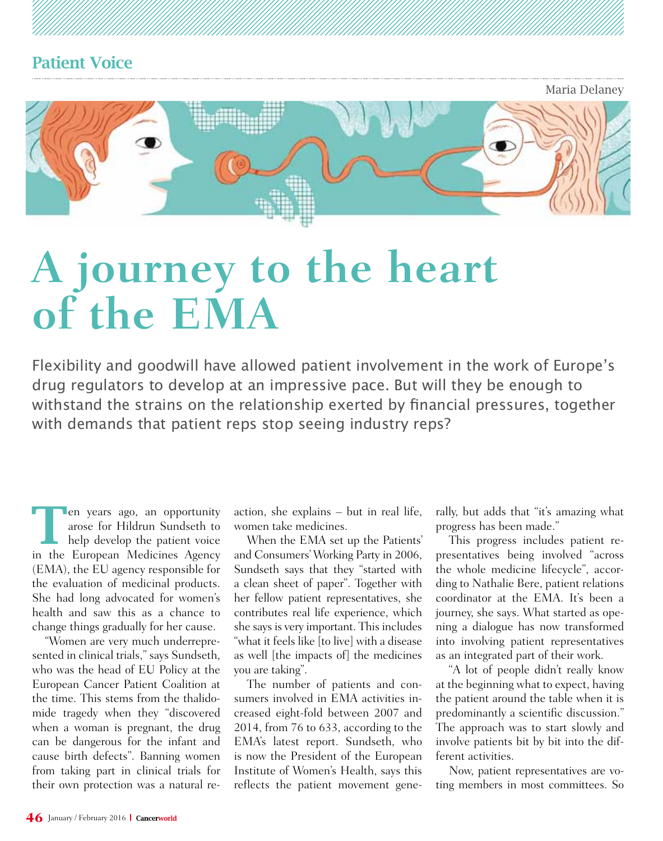Maria Delaney



# **A journey to the heart of the EMA**

Flexibility and goodwill have allowed patient involvement in the work of Europe's drug regulators to develop at an impressive pace. But will they be enough to withstand the strains on the relationship exerted by financial pressures, together with demands that patient reps stop seeing industry reps?

**The Search Started Search Started Search Started Search Started Search Search Started Search Search Started Search Search Search Search Search Search Search Search Search Search Search Search Search Search Search Search S** arose for Hildrun Sundseth to in the European Medicines Agency (EMA), the EU agency responsible for the evaluation of medicinal products. She had long advocated for women's health and saw this as a chance to change things gradually for her cause.

"Women are very much underrepresented in clinical trials," says Sundseth, who was the head of EU Policy at the European Cancer Patient Coalition at the time. This stems from the thalidomide tragedy when they "discovered when a woman is pregnant, the drug can be dangerous for the infant and cause birth defects". Banning women from taking part in clinical trials for their own protection was a natural re-

action, she explains – but in real life, women take medicines.

When the EMA set up the Patients' and Consumers' Working Party in 2006, Sundseth says that they "started with a clean sheet of paper". Together with her fellow patient representatives, she contributes real life experience, which she says is very important. This includes "what it feels like [to live] with a disease as well [the impacts of] the medicines you are taking".

The number of patients and consumers involved in EMA activities increased eight-fold between 2007 and 2014, from 76 to 633, according to the EMA's latest report. Sundseth, who is now the President of the European Institute of Women's Health, says this reflects the patient movement generally, but adds that "it's amazing what progress has been made."

This progress includes patient representatives being involved "across the whole medicine lifecycle", according to Nathalie Bere, patient relations coordinator at the EMA. It's been a journey, she says. What started as opening a dialogue has now transformed into involving patient representatives as an integrated part of their work.

"A lot of people didn't really know at the beginning what to expect, having the patient around the table when it is predominantly a scientific discussion." The approach was to start slowly and involve patients bit by bit into the different activities.

Now, patient representatives are voting members in most committees. So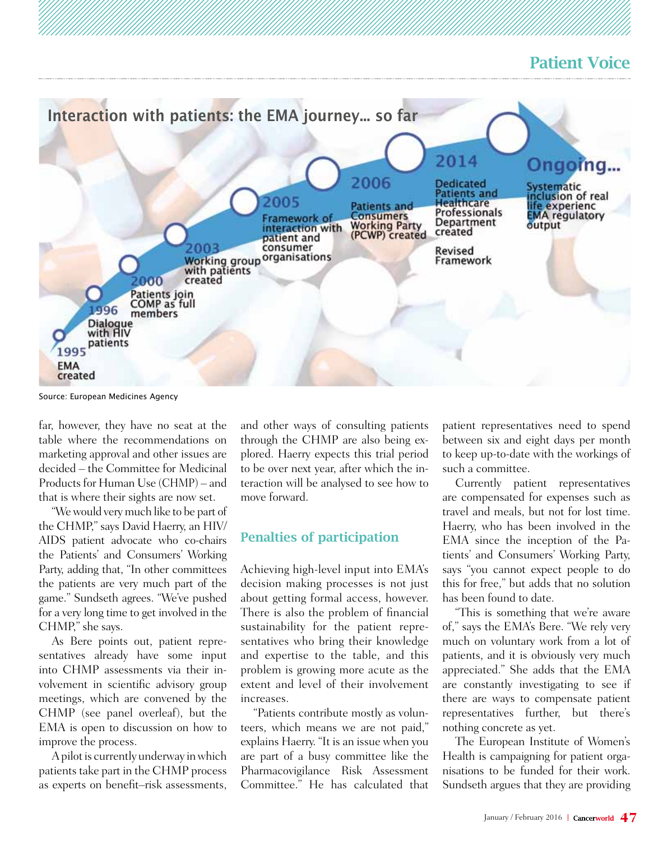

Source: European Medicines Agency

far, however, they have no seat at the table where the recommendations on marketing approval and other issues are decided – the Committee for Medicinal Products for Human Use (CHMP) – and that is where their sights are now set.

"We would very much like to be part of the CHMP," says David Haerry, an HIV/ AIDS patient advocate who co-chairs the Patients' and Consumers' Working Party, adding that, "In other committees the patients are very much part of the game." Sundseth agrees. "We've pushed for a very long time to get involved in the CHMP," she says.

As Bere points out, patient representatives already have some input into CHMP assessments via their involvement in scientific advisory group meetings, which are convened by the CHMP (see panel overleaf), but the EMA is open to discussion on how to improve the process.

A pilot is currently underway in which patients take part in the CHMP process as experts on benefit–risk assessments,

and other ways of consulting patients through the CHMP are also being explored. Haerry expects this trial period to be over next year, after which the interaction will be analysed to see how to move forward.

#### Penalties of participation

Achieving high-level input into EMA's decision making processes is not just about getting formal access, however. There is also the problem of financial sustainability for the patient representatives who bring their knowledge and expertise to the table, and this problem is growing more acute as the extent and level of their involvement increases.

"Patients contribute mostly as volunteers, which means we are not paid," explains Haerry. "It is an issue when you are part of a busy committee like the Pharmacovigilance Risk Assessment Committee." He has calculated that

patient representatives need to spend between six and eight days per month to keep up-to-date with the workings of such a committee.

Currently patient representatives are compensated for expenses such as travel and meals, but not for lost time. Haerry, who has been involved in the EMA since the inception of the Patients' and Consumers' Working Party, says "you cannot expect people to do this for free," but adds that no solution has been found to date.

"This is something that we're aware of," says the EMA's Bere. "We rely very much on voluntary work from a lot of patients, and it is obviously very much appreciated." She adds that the EMA are constantly investigating to see if there are ways to compensate patient representatives further, but there's nothing concrete as yet.

The European Institute of Women's Health is campaigning for patient organisations to be funded for their work. Sundseth argues that they are providing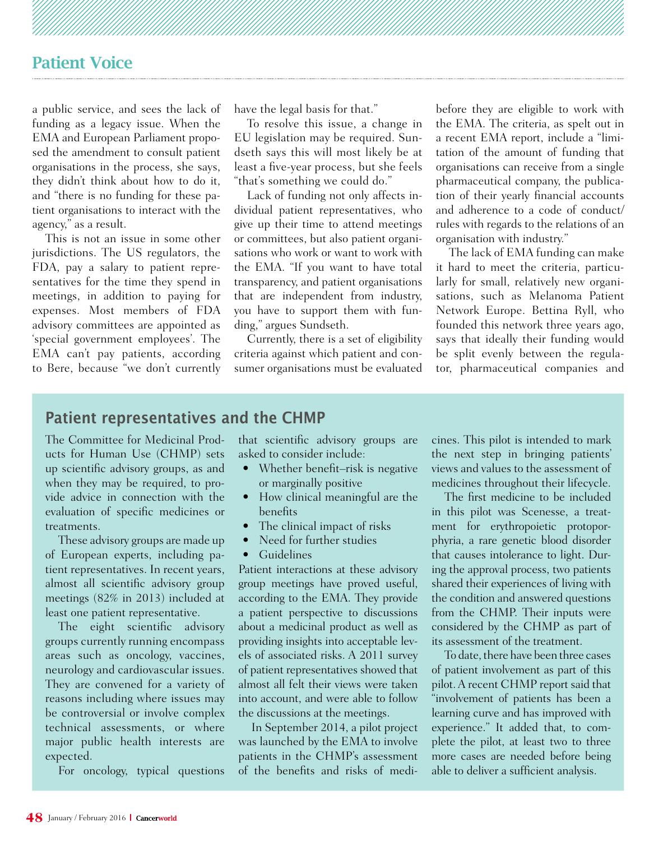a public service, and sees the lack of funding as a legacy issue. When the EMA and European Parliament proposed the amendment to consult patient organisations in the process, she says, they didn't think about how to do it, and "there is no funding for these patient organisations to interact with the agency," as a result.

This is not an issue in some other jurisdictions. The US regulators, the FDA, pay a salary to patient representatives for the time they spend in meetings, in addition to paying for expenses. Most members of FDA advisory committees are appointed as 'special government employees'. The EMA can't pay patients, according to Bere, because "we don't currently have the legal basis for that."

To resolve this issue, a change in EU legislation may be required. Sundseth says this will most likely be at least a five-year process, but she feels "that's something we could do."

Lack of funding not only affects individual patient representatives, who give up their time to attend meetings or committees, but also patient organisations who work or want to work with the EMA. "If you want to have total transparency, and patient organisations that are independent from industry, you have to support them with funding," argues Sundseth.

Currently, there is a set of eligibility criteria against which patient and consumer organisations must be evaluated before they are eligible to work with the EMA. The criteria, as spelt out in a recent EMA report, include a "limitation of the amount of funding that organisations can receive from a single pharmaceutical company, the publication of their yearly financial accounts and adherence to a code of conduct/ rules with regards to the relations of an organisation with industry."

The lack of EMA funding can make it hard to meet the criteria, particularly for small, relatively new organisations, such as Melanoma Patient Network Europe. Bettina Ryll, who founded this network three years ago, says that ideally their funding would be split evenly between the regulator, pharmaceutical companies and

#### **Patient representatives and the CHMP**

The Committee for Medicinal Products for Human Use (CHMP) sets up scientific advisory groups, as and when they may be required, to provide advice in connection with the evaluation of specific medicines or treatments.

These advisory groups are made up of European experts, including patient representatives. In recent years, almost all scientific advisory group meetings (82% in 2013) included at least one patient representative.

The eight scientific advisory groups currently running encompass areas such as oncology, vaccines, neurology and cardiovascular issues. They are convened for a variety of reasons including where issues may be controversial or involve complex technical assessments, or where major public health interests are expected.

For oncology, typical questions

that scientific advisory groups are asked to consider include:

- Whether benefit–risk is negative or marginally positive
- How clinical meaningful are the benefits
- The clinical impact of risks
- Need for further studies
- • Guidelines

Patient interactions at these advisory group meetings have proved useful, according to the EMA. They provide a patient perspective to discussions about a medicinal product as well as providing insights into acceptable levels of associated risks. A 2011 survey of patient representatives showed that almost all felt their views were taken into account, and were able to follow the discussions at the meetings.

In September 2014, a pilot project was launched by the EMA to involve patients in the CHMP's assessment of the benefits and risks of medicines. This pilot is intended to mark the next step in bringing patients' views and values to the assessment of medicines throughout their lifecycle.

The first medicine to be included in this pilot was Scenesse, a treatment for erythropoietic protoporphyria, a rare genetic blood disorder that causes intolerance to light. During the approval process, two patients shared their experiences of living with the condition and answered questions from the CHMP. Their inputs were considered by the CHMP as part of its assessment of the treatment.

To date, there have been three cases of patient involvement as part of this pilot. A recent CHMP report said that "involvement of patients has been a learning curve and has improved with experience." It added that, to complete the pilot, at least two to three more cases are needed before being able to deliver a sufficient analysis.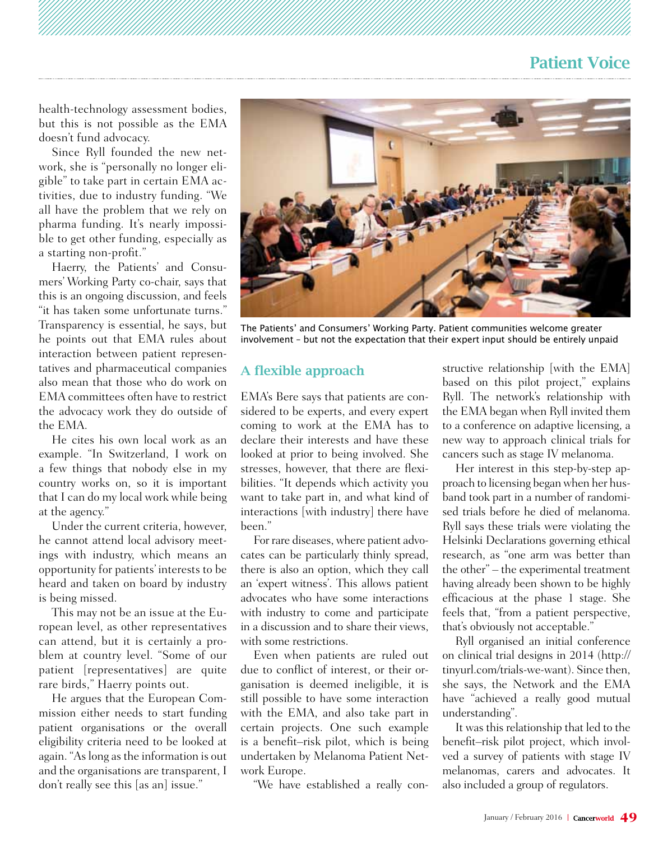health-technology assessment bodies, but this is not possible as the EMA doesn't fund advocacy.

Since Ryll founded the new network, she is "personally no longer eligible" to take part in certain EMA activities, due to industry funding. "We all have the problem that we rely on pharma funding. It's nearly impossible to get other funding, especially as a starting non-profit."

Haerry, the Patients' and Consumers' Working Party co-chair, says that this is an ongoing discussion, and feels "it has taken some unfortunate turns." Transparency is essential, he says, but he points out that EMA rules about interaction between patient representatives and pharmaceutical companies also mean that those who do work on EMA committees often have to restrict the advocacy work they do outside of the EMA.

He cites his own local work as an example. "In Switzerland, I work on a few things that nobody else in my country works on, so it is important that I can do my local work while being at the agency."

Under the current criteria, however, he cannot attend local advisory meetings with industry, which means an opportunity for patients' interests to be heard and taken on board by industry is being missed.

This may not be an issue at the European level, as other representatives can attend, but it is certainly a problem at country level. "Some of our patient [representatives] are quite rare birds," Haerry points out.

He argues that the European Commission either needs to start funding patient organisations or the overall eligibility criteria need to be looked at again. "As long as the information is out and the organisations are transparent, I don't really see this [as an] issue."



The Patients' and Consumers' Working Party. Patient communities welcome greater involvement – but not the expectation that their expert input should be entirely unpaid

#### A flexible approach

EMA's Bere says that patients are considered to be experts, and every expert coming to work at the EMA has to declare their interests and have these looked at prior to being involved. She stresses, however, that there are flexibilities. "It depends which activity you want to take part in, and what kind of interactions [with industry] there have been."

For rare diseases, where patient advocates can be particularly thinly spread, there is also an option, which they call an 'expert witness'. This allows patient advocates who have some interactions with industry to come and participate in a discussion and to share their views, with some restrictions.

Even when patients are ruled out due to conflict of interest, or their organisation is deemed ineligible, it is still possible to have some interaction with the EMA, and also take part in certain projects. One such example is a benefit–risk pilot, which is being undertaken by Melanoma Patient Network Europe.

"We have established a really con-

structive relationship [with the EMA] based on this pilot project," explains Ryll. The network's relationship with the EMA began when Ryll invited them to a conference on adaptive licensing, a new way to approach clinical trials for cancers such as stage IV melanoma.

Her interest in this step-by-step approach to licensing began when her husband took part in a number of randomised trials before he died of melanoma. Ryll says these trials were violating the Helsinki Declarations governing ethical research, as "one arm was better than the other" – the experimental treatment having already been shown to be highly efficacious at the phase 1 stage. She feels that, "from a patient perspective, that's obviously not acceptable."

Ryll organised an initial conference on clinical trial designs in 2014 (http:// tinyurl.com/trials-we-want). Since then, she says, the Network and the EMA have "achieved a really good mutual understanding".

It was this relationship that led to the benefit–risk pilot project, which involved a survey of patients with stage IV melanomas, carers and advocates. It also included a group of regulators.